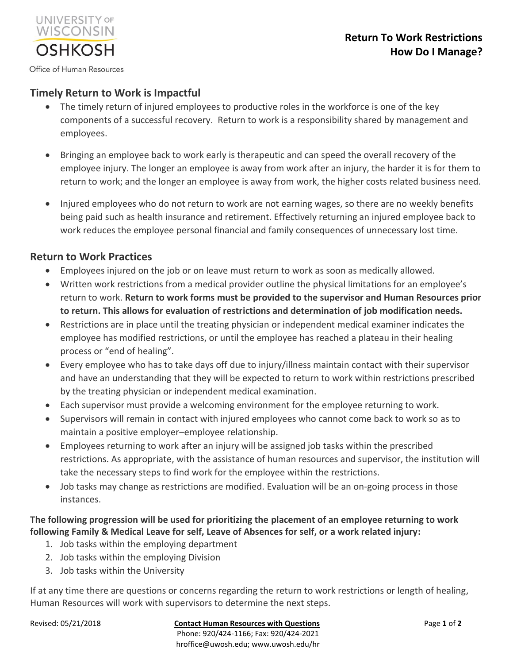Office of Human Resources

**UNIVERSITY OF** WISCONSIN

**OSHKOSH** 

# **Timely Return to Work is Impactful**

- The timely return of injured employees to productive roles in the workforce is one of the key components of a successful recovery. Return to work is a responsibility shared by management and employees.
- Bringing an employee back to work early is therapeutic and can speed the overall recovery of the employee injury. The longer an employee is away from work after an injury, the harder it is for them to return to work; and the longer an employee is away from work, the higher costs related business need.
- Injured employees who do not return to work are not earning wages, so there are no weekly benefits being paid such as health insurance and retirement. Effectively returning an injured employee back to work reduces the employee personal financial and family consequences of unnecessary lost time.

## **Return to Work Practices**

- Employees injured on the job or on leave must return to work as soon as medically allowed.
- Written work restrictions from a medical provider outline the physical limitations for an employee's return to work. **Return to work forms must be provided to the supervisor and Human Resources prior to return. This allows for evaluation of restrictions and determination of job modification needs.**
- Restrictions are in place until the treating physician or independent medical examiner indicates the employee has modified restrictions, or until the employee has reached a plateau in their healing process or "end of healing".
- Every employee who has to take days off due to injury/illness maintain contact with their supervisor and have an understanding that they will be expected to return to work within restrictions prescribed by the treating physician or independent medical examination.
- Each supervisor must provide a welcoming environment for the employee returning to work.
- Supervisors will remain in contact with injured employees who cannot come back to work so as to maintain a positive employer–employee relationship.
- Employees returning to work after an injury will be assigned job tasks within the prescribed restrictions. As appropriate, with the assistance of human resources and supervisor, the institution will take the necessary steps to find work for the employee within the restrictions.
- Job tasks may change as restrictions are modified. Evaluation will be an on-going process in those instances.

## **The following progression will be used for prioritizing the placement of an employee returning to work following Family & Medical Leave for self, Leave of Absences for self, or a work related injury:**

- 1. Job tasks within the employing department
- 2. Job tasks within the employing Division
- 3. Job tasks within the University

If at any time there are questions or concerns regarding the return to work restrictions or length of healing, Human Resources will work with supervisors to determine the next steps.